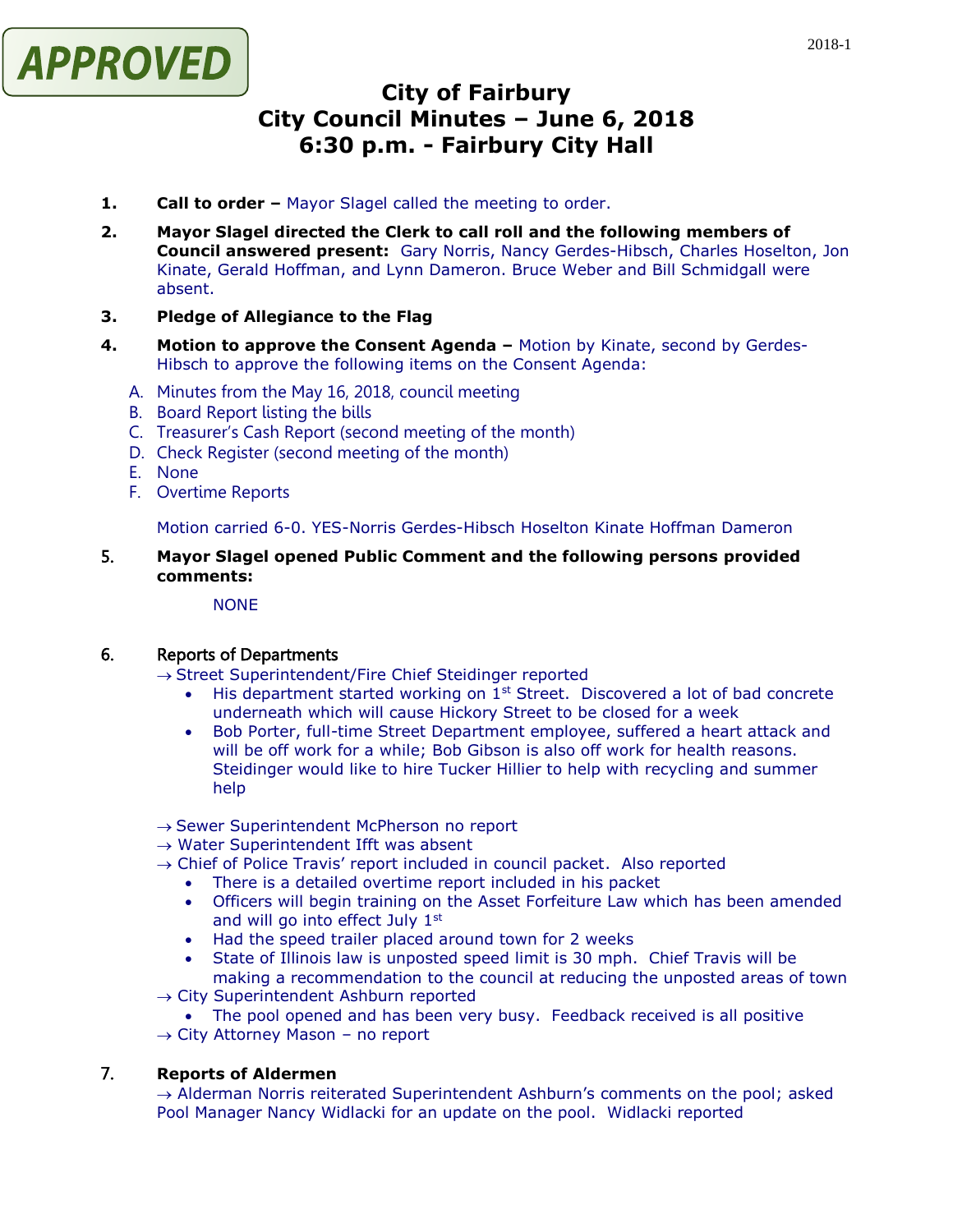

# **City of Fairbury City Council Minutes – June 6, 2018 6:30 p.m. - Fairbury City Hall**

- **1. Call to order –** Mayor Slagel called the meeting to order.
- **2. Mayor Slagel directed the Clerk to call roll and the following members of Council answered present:** Gary Norris, Nancy Gerdes-Hibsch, Charles Hoselton, Jon Kinate, Gerald Hoffman, and Lynn Dameron. Bruce Weber and Bill Schmidgall were absent.

## **3. Pledge of Allegiance to the Flag**

- **4. Motion to approve the Consent Agenda –** Motion by Kinate, second by Gerdes-Hibsch to approve the following items on the Consent Agenda:
	- A. Minutes from the May 16, 2018, council meeting
	- B. Board Report listing the bills
	- C. Treasurer's Cash Report (second meeting of the month)
	- D. Check Register (second meeting of the month)
	- E. None
	- F. Overtime Reports

Motion carried 6-0. YES-Norris Gerdes-Hibsch Hoselton Kinate Hoffman Dameron

# 5. **Mayor Slagel opened Public Comment and the following persons provided comments:**

#### **NONE**

# 6. Reports of Departments

 $\rightarrow$  Street Superintendent/Fire Chief Steidinger reported

- $\bullet$  His department started working on 1<sup>st</sup> Street. Discovered a lot of bad concrete underneath which will cause Hickory Street to be closed for a week
- Bob Porter, full-time Street Department employee, suffered a heart attack and will be off work for a while; Bob Gibson is also off work for health reasons. Steidinger would like to hire Tucker Hillier to help with recycling and summer help
- $\rightarrow$  Sewer Superintendent McPherson no report
- $\rightarrow$  Water Superintendent Ifft was absent
- $\rightarrow$  Chief of Police Travis' report included in council packet. Also reported
	- There is a detailed overtime report included in his packet
	- Officers will begin training on the Asset Forfeiture Law which has been amended and will go into effect July 1st
	- Had the speed trailer placed around town for 2 weeks
	- State of Illinois law is unposted speed limit is 30 mph. Chief Travis will be making a recommendation to the council at reducing the unposted areas of town
- $\rightarrow$  City Superintendent Ashburn reported
	- The pool opened and has been very busy. Feedback received is all positive
- $\rightarrow$  City Attorney Mason no report

## 7. **Reports of Aldermen**

 $\rightarrow$  Alderman Norris reiterated Superintendent Ashburn's comments on the pool; asked Pool Manager Nancy Widlacki for an update on the pool. Widlacki reported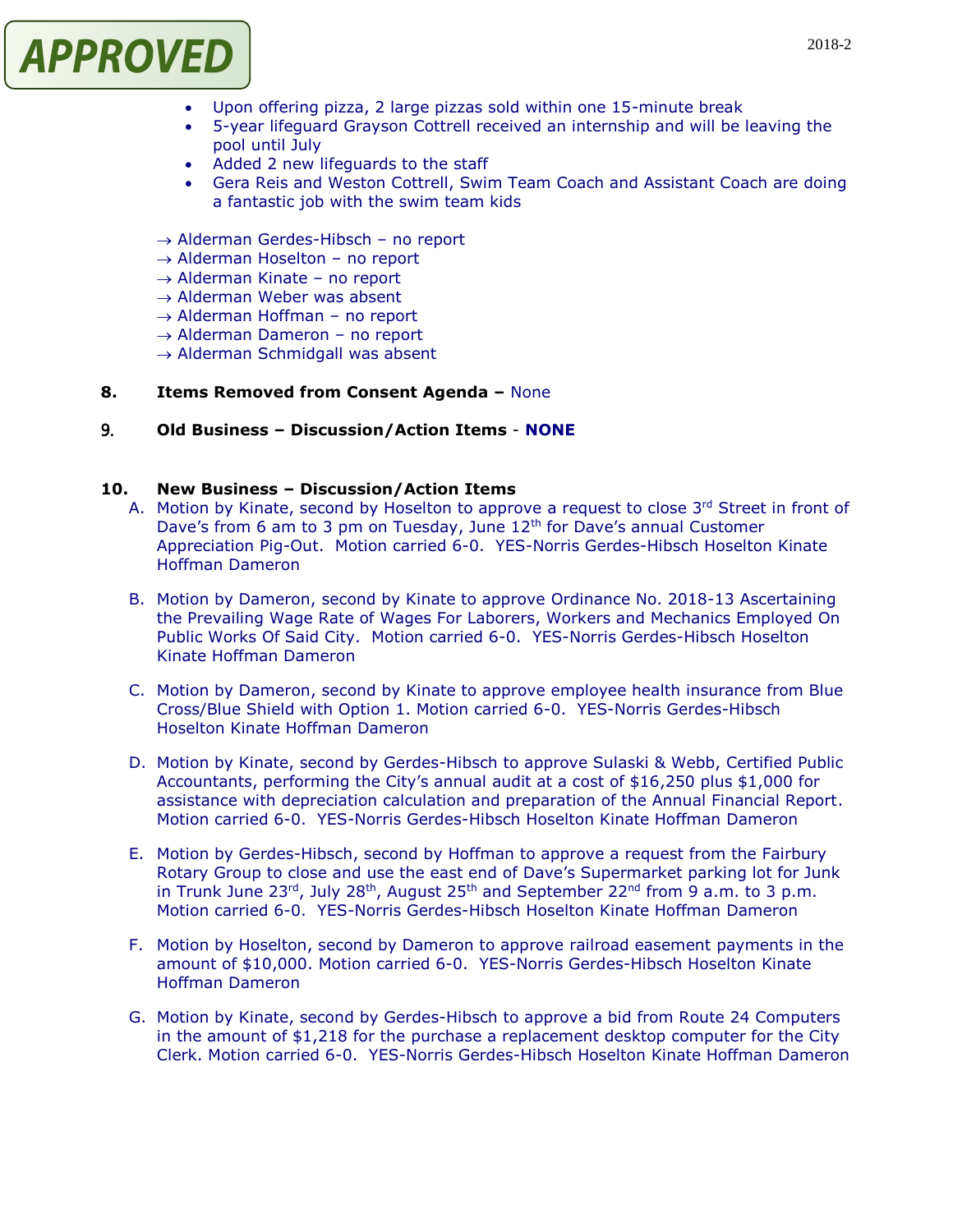

- Upon offering pizza, 2 large pizzas sold within one 15-minute break
- 5-year lifeguard Grayson Cottrell received an internship and will be leaving the pool until July
- Added 2 new lifeguards to the staff
- Gera Reis and Weston Cottrell, Swim Team Coach and Assistant Coach are doing a fantastic job with the swim team kids
- $\rightarrow$  Alderman Gerdes-Hibsch no report
- $\rightarrow$  Alderman Hoselton no report
- $\rightarrow$  Alderman Kinate no report
- $\rightarrow$  Alderman Weber was absent
- $\rightarrow$  Alderman Hoffman no report
- → Alderman Dameron no report
- $\rightarrow$  Alderman Schmidgall was absent

#### **8. Items Removed from Consent Agenda –** None

## 9. **Old Business – Discussion/Action Items** - **NONE**

#### **10. New Business – Discussion/Action Items**

- A. Motion by Kinate, second by Hoselton to approve a request to close 3rd Street in front of Dave's from 6 am to 3 pm on Tuesday, June 12th for Dave's annual Customer Appreciation Pig-Out. Motion carried 6-0. YES-Norris Gerdes-Hibsch Hoselton Kinate Hoffman Dameron
- B. Motion by Dameron, second by Kinate to approve Ordinance No. 2018-13 Ascertaining the Prevailing Wage Rate of Wages For Laborers, Workers and Mechanics Employed On Public Works Of Said City. Motion carried 6-0. YES-Norris Gerdes-Hibsch Hoselton Kinate Hoffman Dameron
- C. Motion by Dameron, second by Kinate to approve employee health insurance from Blue Cross/Blue Shield with Option 1. Motion carried 6-0. YES-Norris Gerdes-Hibsch Hoselton Kinate Hoffman Dameron
- D. Motion by Kinate, second by Gerdes-Hibsch to approve Sulaski & Webb, Certified Public Accountants, performing the City's annual audit at a cost of \$16,250 plus \$1,000 for assistance with depreciation calculation and preparation of the Annual Financial Report. Motion carried 6-0. YES-Norris Gerdes-Hibsch Hoselton Kinate Hoffman Dameron
- E. Motion by Gerdes-Hibsch, second by Hoffman to approve a request from the Fairbury Rotary Group to close and use the east end of Dave's Supermarket parking lot for Junk in Trunk June 23<sup>rd</sup>, July 28<sup>th</sup>, August 25<sup>th</sup> and September 22<sup>nd</sup> from 9 a.m. to 3 p.m. Motion carried 6-0. YES-Norris Gerdes-Hibsch Hoselton Kinate Hoffman Dameron
- F. Motion by Hoselton, second by Dameron to approve railroad easement payments in the amount of \$10,000. Motion carried 6-0. YES-Norris Gerdes-Hibsch Hoselton Kinate Hoffman Dameron
- G. Motion by Kinate, second by Gerdes-Hibsch to approve a bid from Route 24 Computers in the amount of \$1,218 for the purchase a replacement desktop computer for the City Clerk. Motion carried 6-0. YES-Norris Gerdes-Hibsch Hoselton Kinate Hoffman Dameron